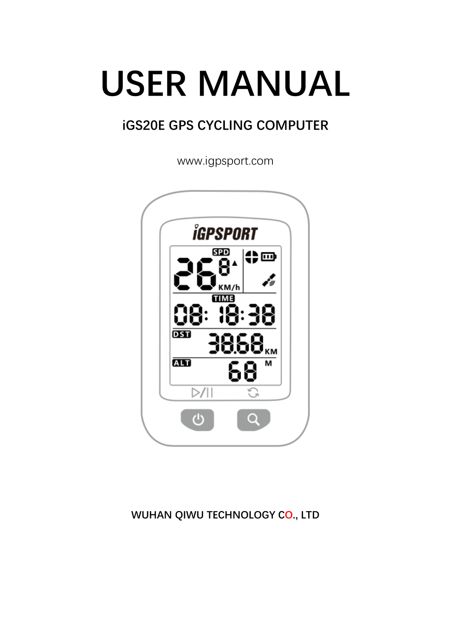# USER MANUAL

## iGS20E GPS CYCLING COMPUTER

www.igpsport.com



## WUHAN QIWU TECHNOLOGY CO., LTD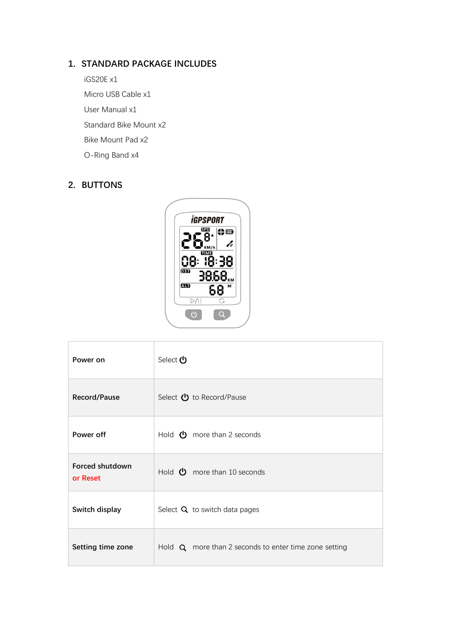## 1. STANDARD PACKAGE INCLUDES

iGS20E x1 Micro USB Cable x1 User Manual x1 Standard Bike Mount x2 Bike Mount Pad x2 O-Ring Band x4

## 2. BUTTONS



| Power on                    | Select <b>い</b>                                              |
|-----------------------------|--------------------------------------------------------------|
| <b>Record/Pause</b>         | Select $\bigcup$ to Record/Pause                             |
| Power off                   | Hold $\bullet$ more than 2 seconds                           |
| Forced shutdown<br>or Reset | Hold $\bullet$ more than 10 seconds                          |
| Switch display              | Select $Q$ to switch data pages                              |
| Setting time zone           | Hold $\alpha$ more than 2 seconds to enter time zone setting |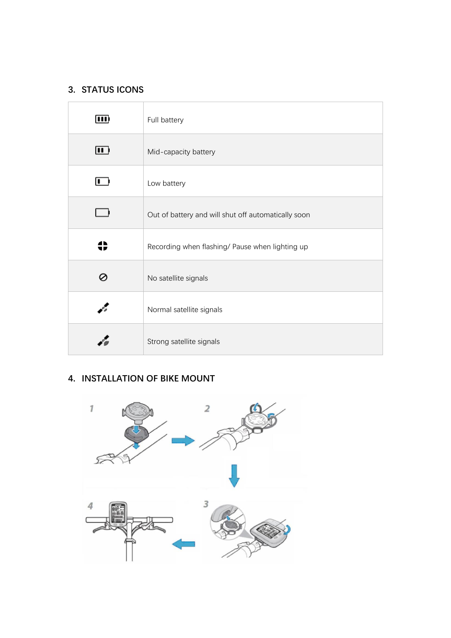## 3. STATUS ICONS

| $\overline{\mathbf{m}}$ | Full battery                                        |
|-------------------------|-----------------------------------------------------|
| $\blacksquare$          | Mid-capacity battery                                |
| ı.                      | Low battery                                         |
|                         | Out of battery and will shut off automatically soon |
|                         | Recording when flashing/ Pause when lighting up     |
|                         | No satellite signals                                |
|                         | Normal satellite signals                            |
|                         | Strong satellite signals                            |

## 4. INSTALLATION OF BIKE MOUNT

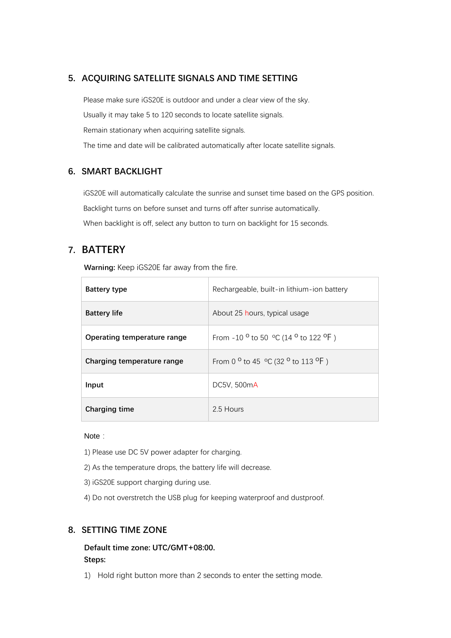## 5. ACQUIRING SATELLITE SIGNALS AND TIME SETTING

Please make sure iGS20E is outdoor and under a clear view of the sky. Usually it may take 5 to 120 seconds to locate satellite signals. Remain stationary when acquiring satellite signals. The time and date will be calibrated automatically after locate satellite signals.

## 6. SMART BACKLIGHT

iGS20E will automatically calculate the sunrise and sunset time based on the GPS position. Backlight turns on before sunset and turns off after sunrise automatically. When backlight is off, select any button to turn on backlight for 15 seconds.

## 7. BATTERY

Warning: Keep iGS20E far away from the fire.

| <b>Battery type</b>         | Rechargeable, built-in lithium-ion battery                                 |
|-----------------------------|----------------------------------------------------------------------------|
| <b>Battery life</b>         | About 25 hours, typical usage                                              |
| Operating temperature range | From -10 $^{\circ}$ to 50 $^{\circ}$ C (14 $^{\circ}$ to 122 $^{\circ}$ F) |
| Charging temperature range  | From 0 $^{\circ}$ to 45 $^{\circ}$ C (32 $^{\circ}$ to 113 $^{\circ}$ F)   |
| Input                       | DC5V, 500mA                                                                |
| Charging time               | 2.5 Hours                                                                  |

#### Note:

- 1) Please use DC 5V power adapter for charging.
- 2) As the temperature drops, the battery life will decrease.
- 3) iGS20E support charging during use.
- 4) Do not overstretch the USB plug for keeping waterproof and dustproof.

#### 8. SETTING TIME ZONE

Default time zone: UTC/GMT+08:00. Steps:

1) Hold right button more than 2 seconds to enter the setting mode.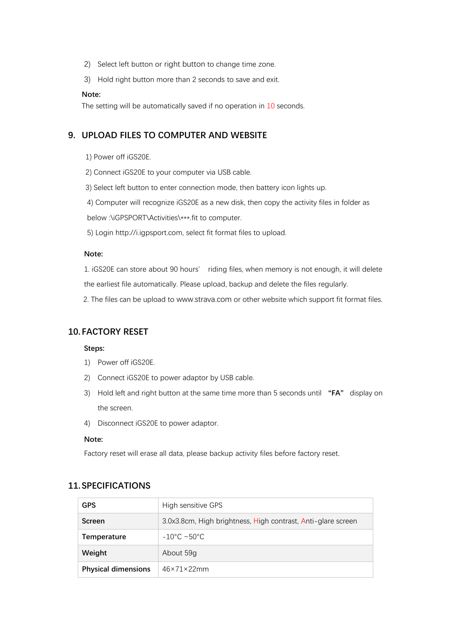- 2) Select left button or right button to change time zone.
- 3) Hold right button more than 2 seconds to save and exit.

#### Note:

The setting will be automatically saved if no operation in 10 seconds.

#### 9. UPLOAD FILES TO COMPUTER AND WEBSITE

- 1) Power off iGS20E.
- 2) Connect iGS20E to your computer via USB cable.
- 3) Select left button to enter connection mode, then battery icon lights up.

4) Computer will recognize iGS20E as a new disk, then copy the activity files in folder as below :\iGPSPORT\Activities\\*\*\*.fit to computer.

5) Login http://i.igpsport.com, select fit format files to upload.

#### Note:

1. iGS20E can store about 90 hours' riding files, when memory is not enough, it will delete the earliest file automatically. Please upload, backup and delete the files regularly.

2. The files can be upload to [www.strava.com](http://www.strava.com/) or other website which support fit format files.

#### 10. FACTORY RESET

#### Steps:

- 1) Power off iGS20E.
- 2) Connect iGS20E to power adaptor by USB cable.
- 3) Hold left and right button at the same time more than 5 seconds until  $H N$  display on the screen.
- 4) Disconnect iGS20E to power adaptor.

#### Note:

Factory reset will erase all data, please backup activity files before factory reset.

| <b>GPS</b>                 | High sensitive GPS                                           |
|----------------------------|--------------------------------------------------------------|
| Screen                     | 3.0x3.8cm, High brightness, High contrast, Anti-glare screen |
| <b>Temperature</b>         | $-10^{\circ}$ C ~50°C.                                       |
| Weight                     | About 59g                                                    |
| <b>Physical dimensions</b> | $46\times71\times22$ mm                                      |

#### 11. SPECIFICATIONS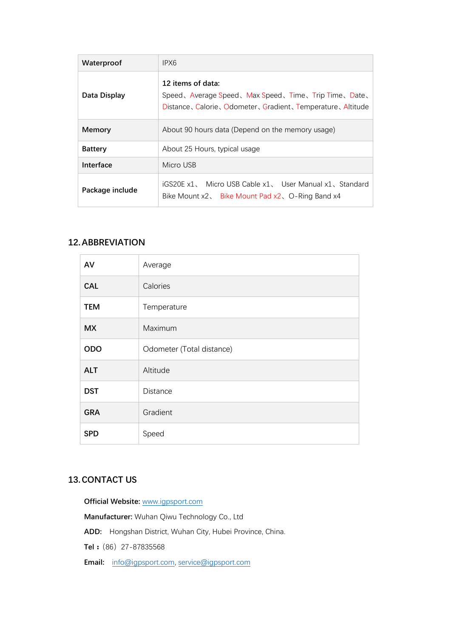| Waterproof      | IPX6                                                                                                                                    |
|-----------------|-----------------------------------------------------------------------------------------------------------------------------------------|
| Data Display    | 12 items of data:<br>Speed、Average Speed、Max Speed、Time、Trip Time、Date、<br>Distance, Calorie, Odometer, Gradient, Temperature, Altitude |
| Memory          | About 90 hours data (Depend on the memory usage)                                                                                        |
| <b>Battery</b>  | About 25 Hours, typical usage                                                                                                           |
| Interface       | Micro USB                                                                                                                               |
| Package include | iGS20E x1, Micro USB Cable x1, User Manual x1, Standard<br>Bike Mount x2, Bike Mount Pad x2, O-Ring Band x4                             |

### 12.ABBREVIATION

| AV         | Average                   |
|------------|---------------------------|
| <b>CAL</b> | Calories                  |
| <b>TEM</b> | Temperature               |
| <b>MX</b>  | Maximum                   |
| <b>ODO</b> | Odometer (Total distance) |
| <b>ALT</b> | Altitude                  |
| <b>DST</b> | Distance                  |
| <b>GRA</b> | Gradient                  |
| <b>SPD</b> | Speed                     |

## 13.CONTACT US

Official Website: [www.igpsport.com](http://www.igpsport.com/) Manufacturer: Wuhan Qiwu Technology Co., Ltd ADD: Hongshan District, Wuhan City, Hubei Province, China. Tel: (86) 27-87835568

Email: [info@igpsport.com,](mailto:info@igpsport.com) [service@igpsport.com](mailto:service@igpsport.com)